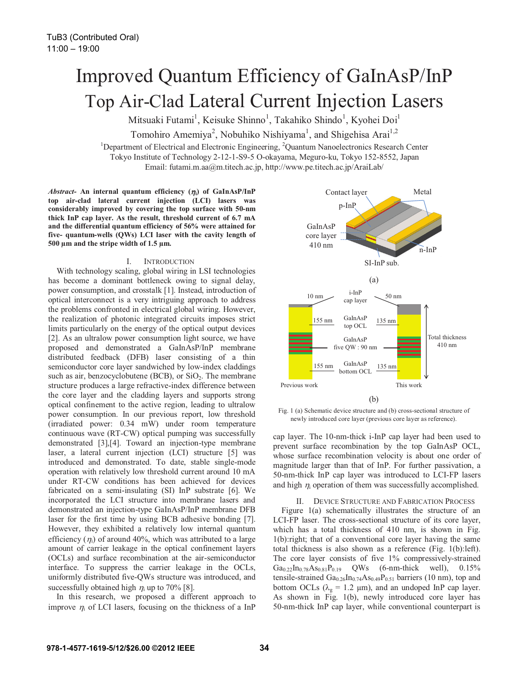# Improved Quantum Efficiency of GaInAsP/InP Top Air-Clad Lateral Current Injection Lasers

Mitsuaki Futami<sup>1</sup>, Keisuke Shinno<sup>1</sup>, Takahiko Shindo<sup>1</sup>, Kyohei Doi<sup>1</sup>

Tomohiro Amemiya<sup>2</sup>, Nobuhiko Nishiyama<sup>1</sup>, and Shigehisa Arai<sup>1,2</sup>

<sup>1</sup>Department of Electrical and Electronic Engineering, <sup>2</sup>Quantum Nanoelectronics Research Center Tokyo Institute of Technology 2-12-1-S9-5 O-okayama, Meguro-ku, Tokyo 152-8552, Japan Email: futami.m.aa@m.titech.ac.jp, http://www.pe.titech.ac.jp/AraiLab/

 $Abstract-$  An internal quantum efficiency  $(\eta_i)$  of  $GalnAsP/InP$ **top air-clad lateral current injection (LCI) lasers was considerably improved by covering the top surface with 50-nm thick InP cap layer. As the result, threshold current of 6.7 mA and the differential quantum efficiency of 56% were attained for five- quantum-wells (QWs) LCI laser with the cavity length of 500 μm and the stripe width of 1.5 μm.** 

## I. INTRODUCTION

With technology scaling, global wiring in LSI technologies has become a dominant bottleneck owing to signal delay, power consumption, and crosstalk [1]. Instead, introduction of optical interconnect is a very intriguing approach to address the problems confronted in electrical global wiring. However, the realization of photonic integrated circuits imposes strict limits particularly on the energy of the optical output devices [2]. As an ultralow power consumption light source, we have proposed and demonstrated a GaInAsP/InP membrane distributed feedback (DFB) laser consisting of a thin semiconductor core layer sandwiched by low-index claddings such as air, benzocyclobutene (BCB), or  $SiO<sub>2</sub>$ . The membrane structure produces a large refractive-index difference between the core layer and the cladding layers and supports strong optical confinement to the active region, leading to ultralow power consumption. In our previous report, low threshold (irradiated power: 0.34 mW) under room temperature continuous wave (RT-CW) optical pumping was successfully demonstrated [3],[4]. Toward an injection-type membrane laser, a lateral current injection (LCI) structure [5] was introduced and demonstrated. To date, stable single-mode operation with relatively low threshold current around 10 mA under RT-CW conditions has been achieved for devices fabricated on a semi-insulating (SI) InP substrate [6]. We incorporated the LCI structure into membrane lasers and demonstrated an injection-type GaInAsP/InP membrane DFB laser for the first time by using BCB adhesive bonding [7]. However, they exhibited a relatively low internal quantum efficiency  $(\eta_i)$  of around 40%, which was attributed to a large amount of carrier leakage in the optical confinement layers (OCLs) and surface recombination at the air-semiconductor interface. To suppress the carrier leakage in the OCLs, uniformly distributed five-QWs structure was introduced, and successfully obtained high  $\eta_i$  up to 70% [8].

In this research, we proposed a different approach to improve  $\eta_i$  of LCI lasers, focusing on the thickness of a InP





cap layer. The 10-nm-thick i-InP cap layer had been used to prevent surface recombination by the top GaInAsP OCL, whose surface recombination velocity is about one order of magnitude larger than that of InP. For further passivation, a 50-nm-thick InP cap layer was introduced to LCI-FP lasers and high  $\eta_i$  operation of them was successfully accomplished.

II. DEVICE STRUCTURE AND FABRICATION PROCESS Figure 1(a) schematically illustrates the structure of an LCI-FP laser. The cross-sectional structure of its core layer, which has a total thickness of 410 nm, is shown in Fig. 1(b):right; that of a conventional core layer having the same total thickness is also shown as a reference (Fig. 1(b):left). The core layer consists of five 1% compressively-strained  $Ga_{0.22}In_{0.78}As_{0.81}P_{0.19}$  QWs (6-nm-thick well), 0.15% tensile-strained  $Ga_{0.26}In_{0.74}As_{0.49}P_{0.51}$  barriers (10 nm), top and bottom OCLs ( $\lambda_g = 1.2$  µm), and an undoped InP cap layer. As shown in Fig. 1(b), newly introduced core layer has 50-nm-thick InP cap layer, while conventional counterpart is